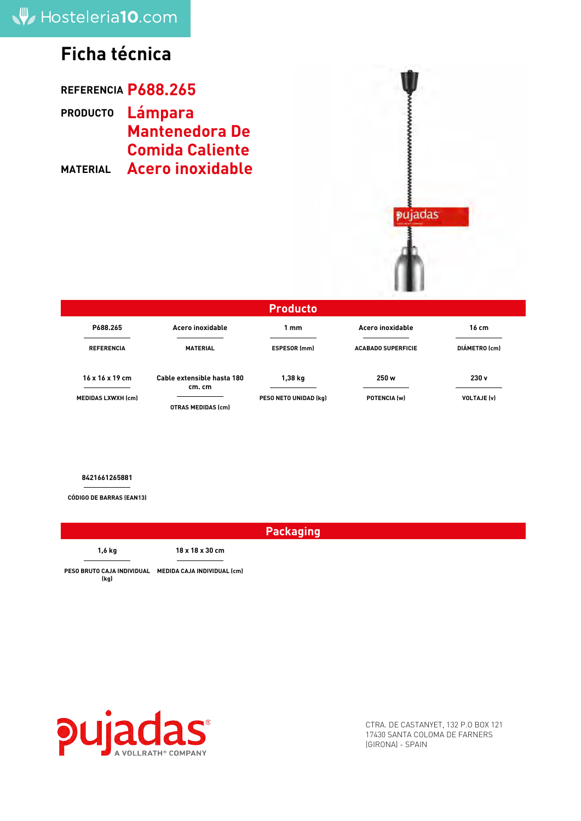## *Ficha técnica*

*REFERENCIA P688.265*

## *PRODUCTO Lámpara Mantenedora De Comida Caliente MATERIAL Acero inoxidable*

pujadas

| <b>Producto</b>                                          |                                                            |                                  |                           |                             |  |  |
|----------------------------------------------------------|------------------------------------------------------------|----------------------------------|---------------------------|-----------------------------|--|--|
| P688.265                                                 | Acero inoxidable                                           | 1 mm                             | Acero inoxidable          | 16 cm                       |  |  |
| <b>REFERENCIA</b>                                        | <b>MATERIAL</b>                                            | <b>ESPESOR (mm)</b>              | <b>ACABADO SUPERFICIE</b> | DIÁMETRO (cm)               |  |  |
| $16 \times 16 \times 19$ cm<br><b>MEDIDAS LXWXH (cm)</b> | Cable extensible hasta 180<br>cm. cm<br>OTRAS MEDIDAS (cm) | 1,38 kg<br>PESO NETO UNIDAD (kg) | 250 w<br>POTENCIA (w)     | 230 v<br><b>VOLTAJE (v)</b> |  |  |

### *8421661265881*

*CÓDIGO DE BARRAS (EAN13)*

*Packaging*

*1,6 kg*

*18 x 18 x 30 cm*

*PESO BRUTO CAJA INDIVIDUAL MEDIDA CAJA INDIVIDUAL (cm) (kg)*



CTRA. DE CASTANYET, 132 P.O BOX 121 17430 SANTA COLOMA DE FARNERS (GIRONA) - SPAIN